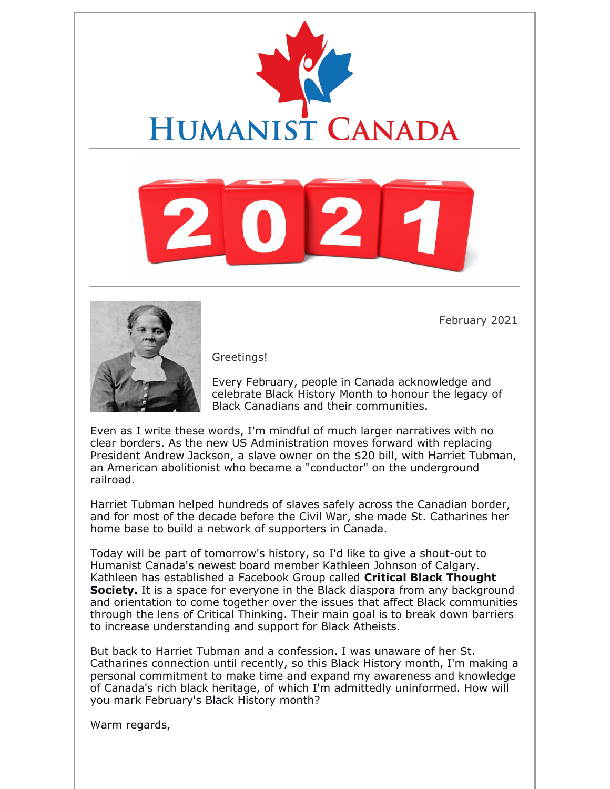



February 2021

Greetings!

Every February, people in Canada acknowledge and celebrate Black History Month to honour the legacy of Black Canadians and their communities.

Even as I write these words, I'm mindful of much larger narratives with no clear borders. As the new US Administration moves forward with replacing President Andrew Jackson, a slave owner on the \$20 bill, with Harriet Tubman, an American abolitionist who became a "conductor" on the underground railroad.

Harriet Tubman helped hundreds of slaves safely across the Canadian border, and for most of the decade before the Civil War, she made St. Catharines her home base to build a network of supporters in Canada.

Today will be part of tomorrow's history, so I'd like to give a shout-out to Humanist Canada's newest board member Kathleen Johnson of Calgary. Kathleen has established a Facebook Group called **Critical Black Thought Society.** It is a space for everyone in the Black diaspora from any background and orientation to come together over the issues that affect Black communities through the lens of Critical Thinking. Their main goal is to break down barriers to increase understanding and support for Black Atheists.

But back to Harriet Tubman and a confession. I was unaware of her St. Catharines connection until recently, so this Black History month, I'm making a personal commitment to make time and expand my awareness and knowledge of Canada's rich black heritage, of which I'm admittedly uninformed. How will you mark February's Black History month?

Warm regards,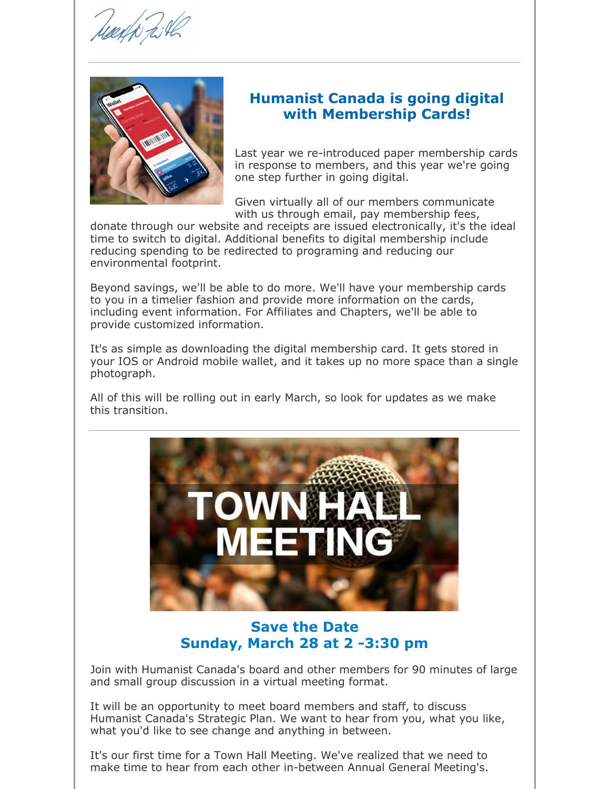

### **Humanist Canada is going digital with Membership Cards!**

Last year we re-introduced paper membership cards in response to members, and this year we're going one step further in going digital.

Given virtually all of our members communicate with us through email, pay membership fees,

donate through our website and receipts are issued electronically, it's the ideal time to switch to digital. Additional benefits to digital membership include reducing spending to be redirected to programing and reducing our environmental footprint.

Beyond savings, we'll be able to do more. We'll have your membership cards to you in a timelier fashion and provide more information on the cards, including event information. For Affiliates and Chapters, we'll be able to provide customized information.

It's as simple as downloading the digital membership card. It gets stored in your IOS or Android mobile wallet, and it takes up no more space than a single photograph.

All of this will be rolling out in early March, so look for updates as we make this transition.



**Save the Date Sunday, March 28 at 2 -3:30 pm**

Join with Humanist Canada's board and other members for 90 minutes of large and small group discussion in a virtual meeting format.

It will be an opportunity to meet board members and staff, to discuss Humanist Canada's Strategic Plan. We want to hear from you, what you like, what you'd like to see change and anything in between.

It's our first time for a Town Hall Meeting. We've realized that we need to make time to hear from each other in-between Annual General Meeting's.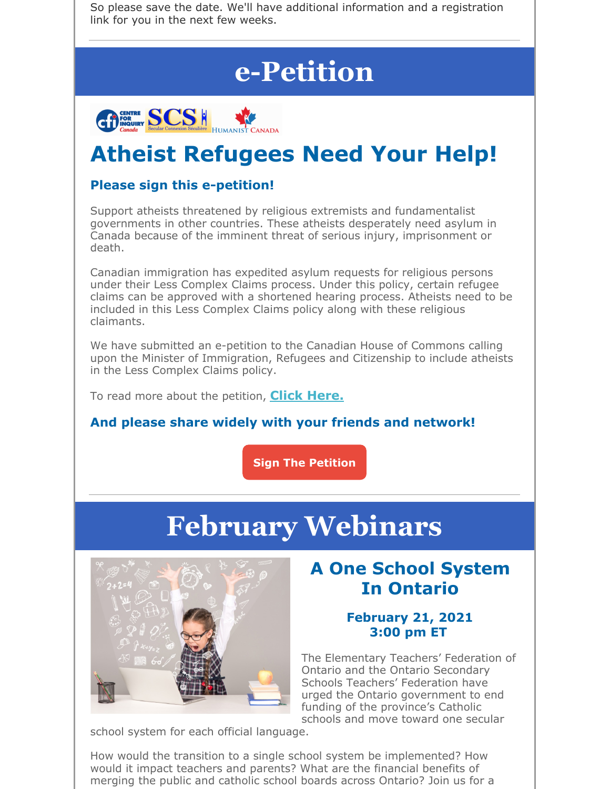So please save the date. We'll have additional information and a registration link for you in the next few weeks.

# **e-Petition**



# **Atheist Refugees Need Your Help!**

### **Please sign this e-petition!**

Support atheists threatened by religious extremists and fundamentalist governments in other countries. These atheists desperately need asylum in Canada because of the imminent threat of serious injury, imprisonment or death.

Canadian immigration has expedited asylum requests for religious persons under their Less Complex Claims process. Under this policy, certain refugee claims can be approved with a shortened hearing process. Atheists need to be included in this Less Complex Claims policy along with these religious claimants.

We have submitted an e-petition to the Canadian House of Commons calling upon the Minister of Immigration, Refugees and Citizenship to include atheists in the Less Complex Claims policy.

To read more about the petition, **Click Here.**

### **And please share widely with your friends and network!**

**Sign The Petition**

# **February Webinars**



# **A One School System In Ontario**

#### **February 21, 2021 3:00 pm ET**

The Elementary Teachers' Federation of Ontario and the Ontario Secondary Schools Teachers' Federation have urged the Ontario government to end funding of the province's Catholic schools and move toward one secular

school system for each official language.

How would the transition to a single school system be implemented? How would it impact teachers and parents? What are the financial benefits of merging the public and catholic school boards across Ontario? Join us for a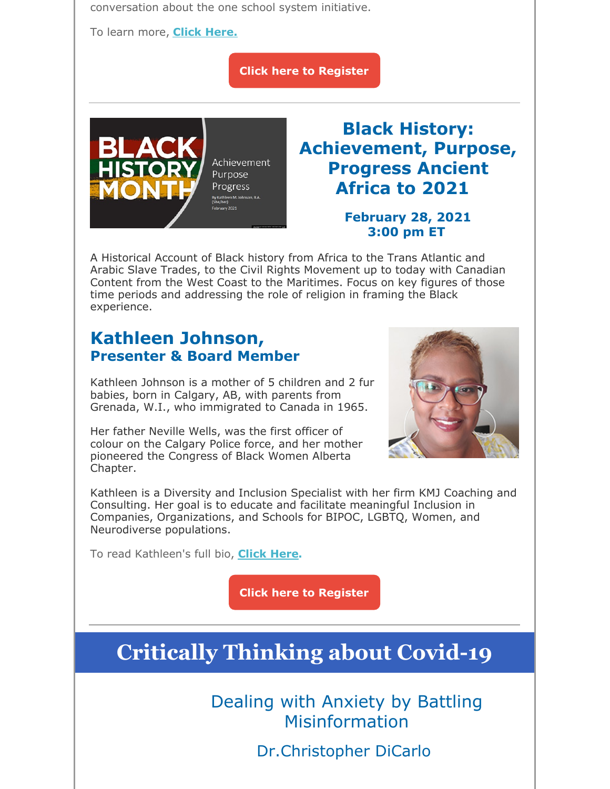conversation about the one school system initiative.

To learn more, **Click Here.**

**Click here to Register**



# **Black History: Achievement, Purpose, Progress Ancient Africa to 2021**

#### **February 28, 2021 3:00 pm ET**

A Historical Account of Black history from Africa to the Trans Atlantic and Arabic Slave Trades, to the Civil Rights Movement up to today with Canadian Content from the West Coast to the Maritimes. Focus on key figures of those time periods and addressing the role of religion in framing the Black experience.

# **Kathleen Johnson, Presenter & Board Member**

Kathleen Johnson is a mother of 5 children and 2 fur babies, born in Calgary, AB, with parents from Grenada, W.I., who immigrated to Canada in 1965.

Her father Neville Wells, was the first officer of colour on the Calgary Police force, and her mother pioneered the Congress of Black Women Alberta Chapter.



Kathleen is a Diversity and Inclusion Specialist with her firm KMJ Coaching and Consulting. Her goal is to educate and facilitate meaningful Inclusion in Companies, Organizations, and Schools for BIPOC, LGBTQ, Women, and Neurodiverse populations.

To read Kathleen's full bio, **Click Here.**

**Click here to Register**

# **Critically Thinking about Covid-19**

Dealing with Anxiety by Battling Misinformation

Dr.Christopher DiCarlo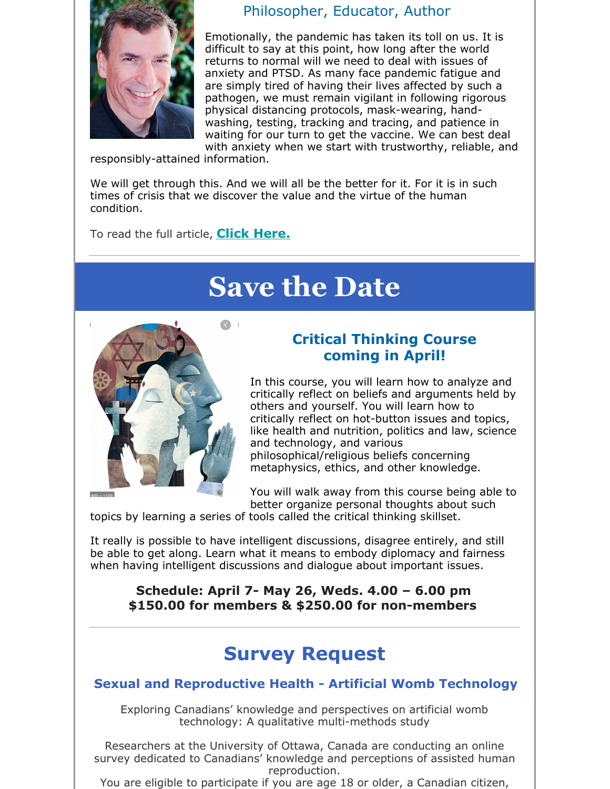

### Philosopher, Educator, Author

Emotionally, the pandemic has taken its toll on us. It is difficult to say at this point, how long after the world returns to normal will we need to deal with issues of anxiety and PTSD. As many face pandemic fatigue and are simply tired of having their lives affected by such a pathogen, we must remain vigilant in following rigorous physical distancing protocols, mask-wearing, handwashing, testing, tracking and tracing, and patience in waiting for our turn to get the vaccine. We can best deal with anxiety when we start with trustworthy, reliable, and

responsibly-attained information.

We will get through this. And we will all be the better for it. For it is in such times of crisis that we discover the value and the virtue of the human condition.

To read the full article, **Click Here.**

# **Save the Date**



#### $000 - 1100$

### **Critical Thinking Course coming in April!**

In this course, you will learn how to analyze and critically reflect on beliefs and arguments held by others and yourself. You will learn how to critically reflect on hot-button issues and topics, like health and nutrition, politics and law, science and technology, and various philosophical/religious beliefs concerning metaphysics, ethics, and other knowledge.

You will walk away from this course being able to better organize personal thoughts about such

topics by learning a series of tools called the critical thinking skillset.

It really is possible to have intelligent discussions, disagree entirely, and still be able to get along. Learn what it means to embody diplomacy and fairness when having intelligent discussions and dialogue about important issues.

**Schedule: April 7- May 26, Weds. 4.00 – 6.00 pm \$150.00 for members & \$250.00 for non-members**

# **Survey Request**

#### **Sexual and Reproductive Health - Artificial Womb Technology**

Exploring Canadians' knowledge and perspectives on artificial womb technology: A qualitative multi-methods study

Researchers at the University of Ottawa, Canada are conducting an online survey dedicated to Canadians' knowledge and perceptions of assisted human reproduction.

You are eligible to participate if you are age 18 or older, a Canadian citizen,